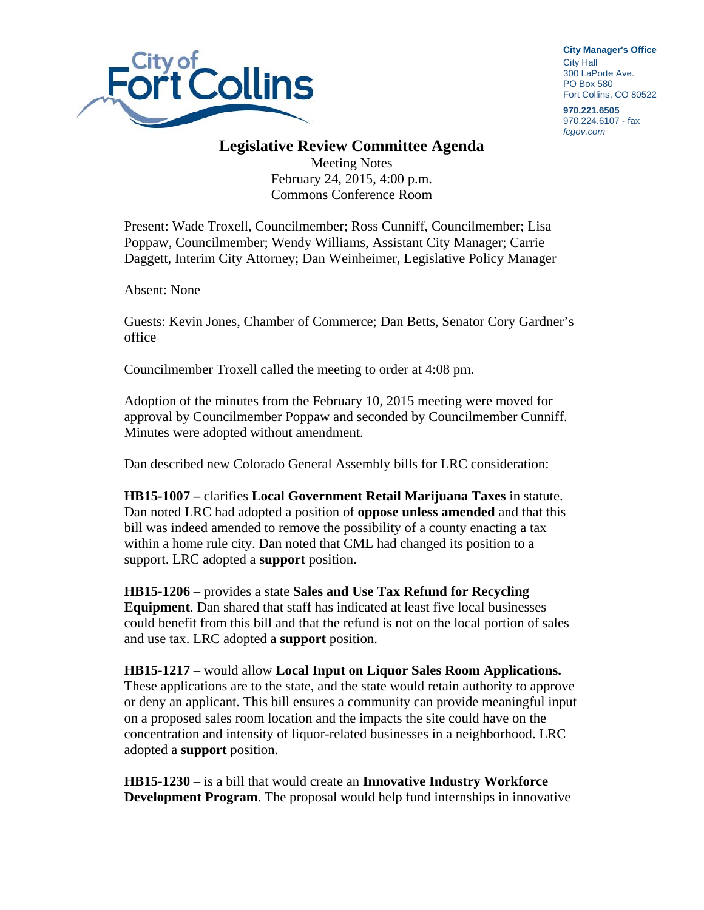

**City Manager**'**s Office** City Hall 300 LaPorte Ave. PO Box 580 Fort Collins, CO 80522

**970.221.6505**  970.224.6107 - fax *fcgov.com* 

## **Legislative Review Committee Agenda**

Meeting Notes February 24, 2015, 4:00 p.m. Commons Conference Room

Present: Wade Troxell, Councilmember; Ross Cunniff, Councilmember; Lisa Poppaw, Councilmember; Wendy Williams, Assistant City Manager; Carrie Daggett, Interim City Attorney; Dan Weinheimer, Legislative Policy Manager

Absent: None

Guests: Kevin Jones, Chamber of Commerce; Dan Betts, Senator Cory Gardner's office

Councilmember Troxell called the meeting to order at 4:08 pm.

Adoption of the minutes from the February 10, 2015 meeting were moved for approval by Councilmember Poppaw and seconded by Councilmember Cunniff. Minutes were adopted without amendment.

Dan described new Colorado General Assembly bills for LRC consideration:

**HB15-1007 –** clarifies **Local Government Retail Marijuana Taxes** in statute. Dan noted LRC had adopted a position of **oppose unless amended** and that this bill was indeed amended to remove the possibility of a county enacting a tax within a home rule city. Dan noted that CML had changed its position to a support. LRC adopted a **support** position.

**HB15-1206** – provides a state **Sales and Use Tax Refund for Recycling Equipment**. Dan shared that staff has indicated at least five local businesses could benefit from this bill and that the refund is not on the local portion of sales and use tax. LRC adopted a **support** position.

**HB15-1217** – would allow **Local Input on Liquor Sales Room Applications.** These applications are to the state, and the state would retain authority to approve or deny an applicant. This bill ensures a community can provide meaningful input on a proposed sales room location and the impacts the site could have on the concentration and intensity of liquor-related businesses in a neighborhood. LRC adopted a **support** position.

**HB15-1230** – is a bill that would create an **Innovative Industry Workforce Development Program**. The proposal would help fund internships in innovative